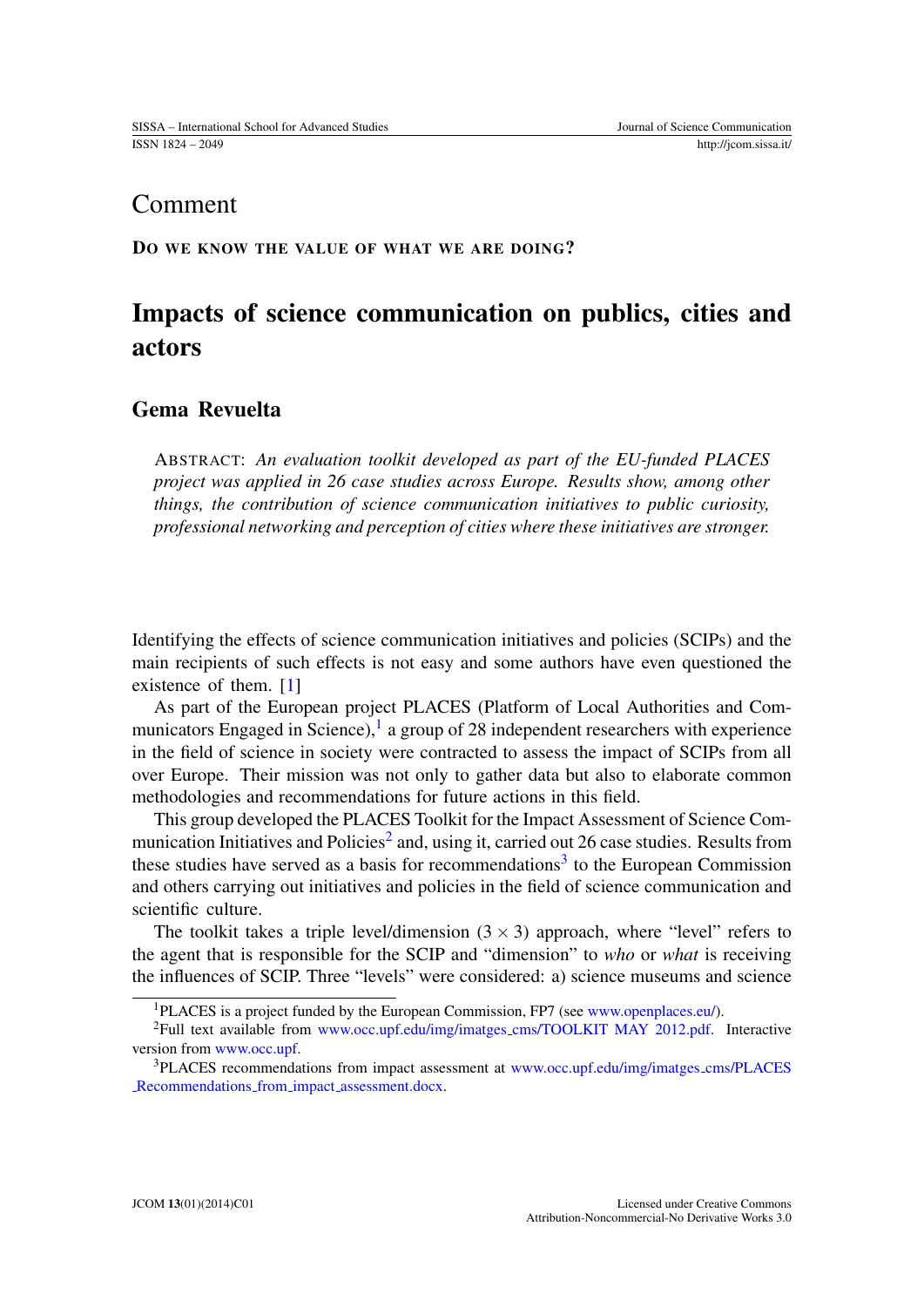## Comment

DO WE KNOW THE VALUE OF WHAT WE ARE DOING?

# Impacts of science communication on publics, cities and actors

### Gema Revuelta

ABSTRACT: *An evaluation toolkit developed as part of the EU-funded PLACES project was applied in 26 case studies across Europe. Results show, among other things, the contribution of science communication initiatives to public curiosity, professional networking and perception of cities where these initiatives are stronger.*

Identifying the effects of science communication initiatives and policies (SCIPs) and the main recipients of such effects is not easy and some authors have even questioned the existence of them. [\[1\]](#page-3-0)

As part of the European project PLACES (Platform of Local Authorities and Com-municators Engaged in Science),<sup>[1](#page-0-0)</sup> a group of 28 independent researchers with experience in the field of science in society were contracted to assess the impact of SCIPs from all over Europe. Their mission was not only to gather data but also to elaborate common methodologies and recommendations for future actions in this field.

This group developed the PLACES Toolkit for the Impact Assessment of Science Com-munication Initiatives and Policies<sup>[2](#page-0-1)</sup> and, using it, carried out 26 case studies. Results from these studies have served as a basis for recommendations<sup>[3](#page-0-2)</sup> to the European Commission and others carrying out initiatives and policies in the field of science communication and scientific culture.

The toolkit takes a triple level/dimension  $(3 \times 3)$  approach, where "level" refers to the agent that is responsible for the SCIP and "dimension" to *who* or *what* is receiving the influences of SCIP. Three "levels" were considered: a) science museums and science

<span id="page-0-1"></span><span id="page-0-0"></span><sup>&</sup>lt;sup>1</sup>PLACES is a project funded by the European Commission, FP7 (see [www.openplaces.eu/\)](http://www.openplaces.eu/).

<sup>2</sup>Full text available from www.occ.upf.edu/img/imatges [cms/TOOLKIT MAY 2012.pdf.](http://www.occ.upf.edu/img/imatges_cms/TOOLKIT MAY 2012.pdf) Interactive version from [www.occ.upf.](http://www.occ.upf)

<span id="page-0-2"></span><sup>3</sup>PLACES recommendations from impact assessment at [www.occ.upf.edu/img/imatges](http://www.occ.upf.edu/img/imatges_cms/PLACES_Recommendations_from_impact_assessment.docx) cms/PLACES [Recommendations](http://www.occ.upf.edu/img/imatges_cms/PLACES_Recommendations_from_impact_assessment.docx) from impact assessment.docx.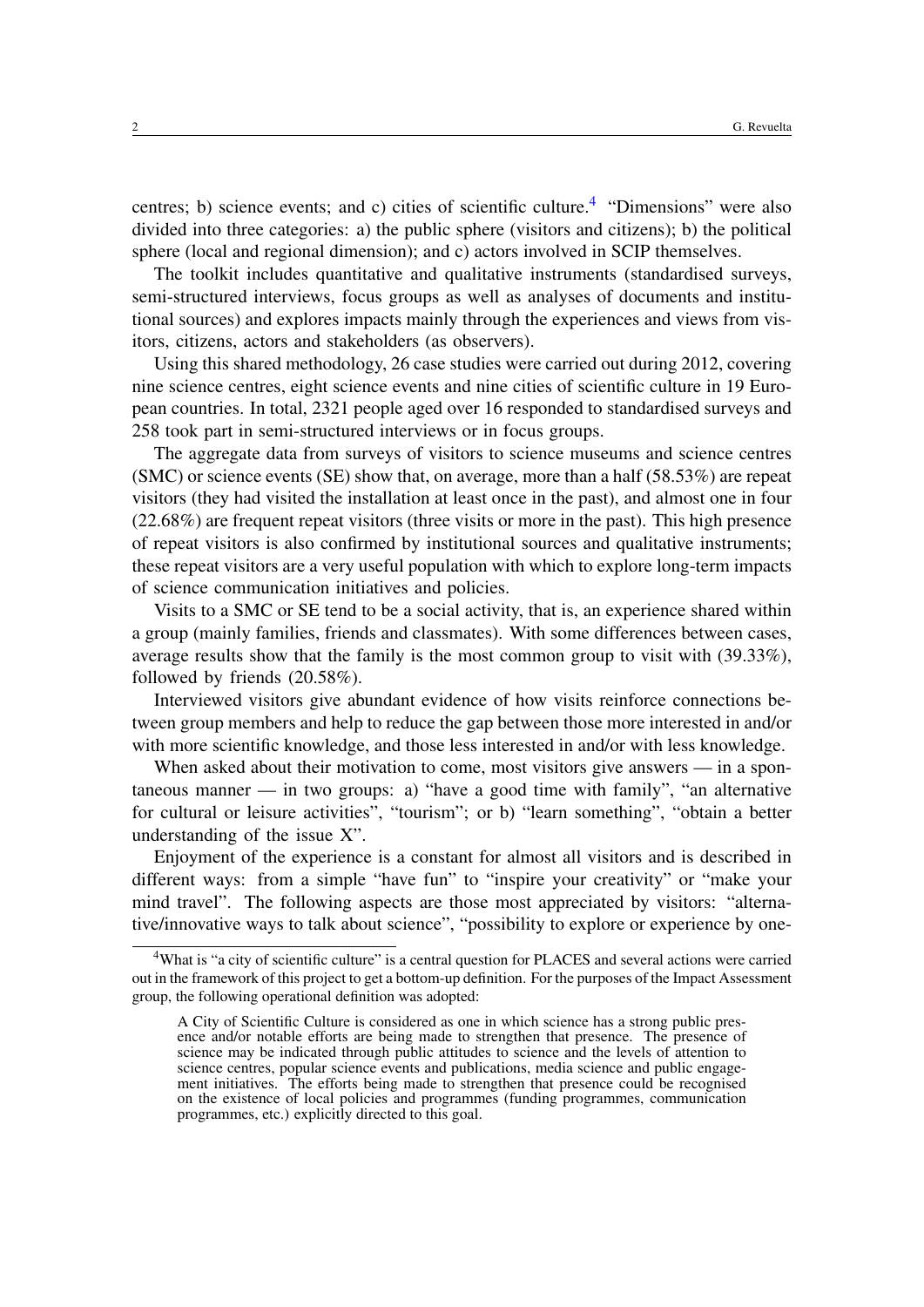centres; b) science events; and c) cities of scientific culture.<sup>[4](#page-1-0)</sup> "Dimensions" were also divided into three categories: a) the public sphere (visitors and citizens); b) the political sphere (local and regional dimension); and c) actors involved in SCIP themselves.

The toolkit includes quantitative and qualitative instruments (standardised surveys, semi-structured interviews, focus groups as well as analyses of documents and institutional sources) and explores impacts mainly through the experiences and views from visitors, citizens, actors and stakeholders (as observers).

Using this shared methodology, 26 case studies were carried out during 2012, covering nine science centres, eight science events and nine cities of scientific culture in 19 European countries. In total, 2321 people aged over 16 responded to standardised surveys and 258 took part in semi-structured interviews or in focus groups.

The aggregate data from surveys of visitors to science museums and science centres (SMC) or science events (SE) show that, on average, more than a half (58.53%) are repeat visitors (they had visited the installation at least once in the past), and almost one in four (22.68%) are frequent repeat visitors (three visits or more in the past). This high presence of repeat visitors is also confirmed by institutional sources and qualitative instruments; these repeat visitors are a very useful population with which to explore long-term impacts of science communication initiatives and policies.

Visits to a SMC or SE tend to be a social activity, that is, an experience shared within a group (mainly families, friends and classmates). With some differences between cases, average results show that the family is the most common group to visit with (39.33%), followed by friends (20.58%).

Interviewed visitors give abundant evidence of how visits reinforce connections between group members and help to reduce the gap between those more interested in and/or with more scientific knowledge, and those less interested in and/or with less knowledge.

When asked about their motivation to come, most visitors give answers — in a spontaneous manner — in two groups: a) "have a good time with family", "an alternative for cultural or leisure activities", "tourism"; or b) "learn something", "obtain a better understanding of the issue X".

Enjoyment of the experience is a constant for almost all visitors and is described in different ways: from a simple "have fun" to "inspire your creativity" or "make your mind travel". The following aspects are those most appreciated by visitors: "alternative/innovative ways to talk about science", "possibility to explore or experience by one-

<span id="page-1-0"></span><sup>&</sup>lt;sup>4</sup>What is "a city of scientific culture" is a central question for PLACES and several actions were carried out in the framework of this project to get a bottom-up definition. For the purposes of the Impact Assessment group, the following operational definition was adopted:

A City of Scientific Culture is considered as one in which science has a strong public presence and/or notable efforts are being made to strengthen that presence. The presence of science may be indicated through public attitudes to science and the levels of attention to science centres, popular science events and publications, media science and public engagement initiatives. The efforts being made to strengthen that presence could be recognised on the existence of local policies and programmes (funding programmes, communication programmes, etc.) explicitly directed to this goal.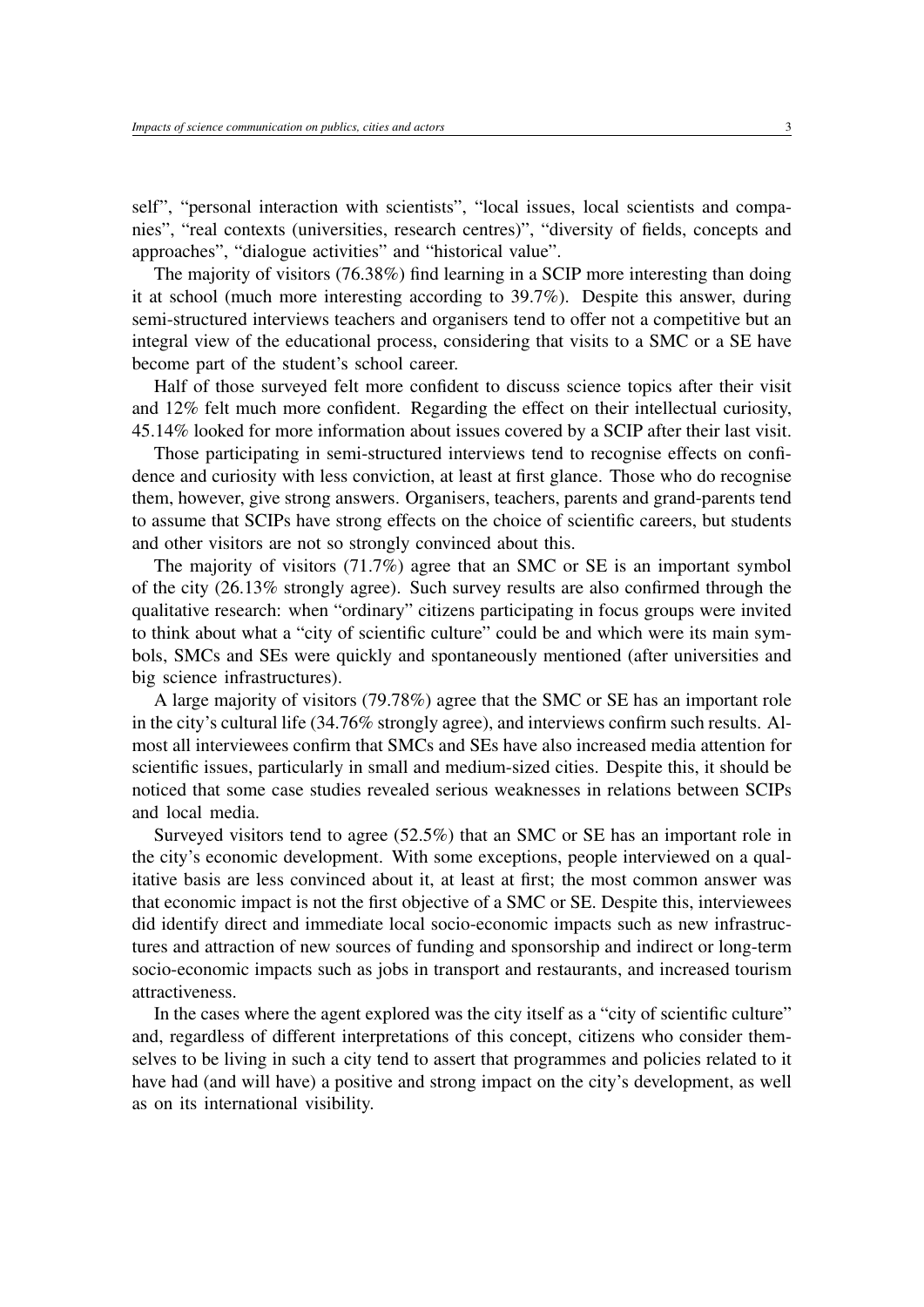self", "personal interaction with scientists", "local issues, local scientists and companies", "real contexts (universities, research centres)", "diversity of fields, concepts and approaches", "dialogue activities" and "historical value".

The majority of visitors (76.38%) find learning in a SCIP more interesting than doing it at school (much more interesting according to 39.7%). Despite this answer, during semi-structured interviews teachers and organisers tend to offer not a competitive but an integral view of the educational process, considering that visits to a SMC or a SE have become part of the student's school career.

Half of those surveyed felt more confident to discuss science topics after their visit and 12% felt much more confident. Regarding the effect on their intellectual curiosity, 45.14% looked for more information about issues covered by a SCIP after their last visit.

Those participating in semi-structured interviews tend to recognise effects on confidence and curiosity with less conviction, at least at first glance. Those who do recognise them, however, give strong answers. Organisers, teachers, parents and grand-parents tend to assume that SCIPs have strong effects on the choice of scientific careers, but students and other visitors are not so strongly convinced about this.

The majority of visitors (71.7%) agree that an SMC or SE is an important symbol of the city (26.13% strongly agree). Such survey results are also confirmed through the qualitative research: when "ordinary" citizens participating in focus groups were invited to think about what a "city of scientific culture" could be and which were its main symbols, SMCs and SEs were quickly and spontaneously mentioned (after universities and big science infrastructures).

A large majority of visitors (79.78%) agree that the SMC or SE has an important role in the city's cultural life (34.76% strongly agree), and interviews confirm such results. Almost all interviewees confirm that SMCs and SEs have also increased media attention for scientific issues, particularly in small and medium-sized cities. Despite this, it should be noticed that some case studies revealed serious weaknesses in relations between SCIPs and local media.

Surveyed visitors tend to agree (52.5%) that an SMC or SE has an important role in the city's economic development. With some exceptions, people interviewed on a qualitative basis are less convinced about it, at least at first; the most common answer was that economic impact is not the first objective of a SMC or SE. Despite this, interviewees did identify direct and immediate local socio-economic impacts such as new infrastructures and attraction of new sources of funding and sponsorship and indirect or long-term socio-economic impacts such as jobs in transport and restaurants, and increased tourism attractiveness.

In the cases where the agent explored was the city itself as a "city of scientific culture" and, regardless of different interpretations of this concept, citizens who consider themselves to be living in such a city tend to assert that programmes and policies related to it have had (and will have) a positive and strong impact on the city's development, as well as on its international visibility.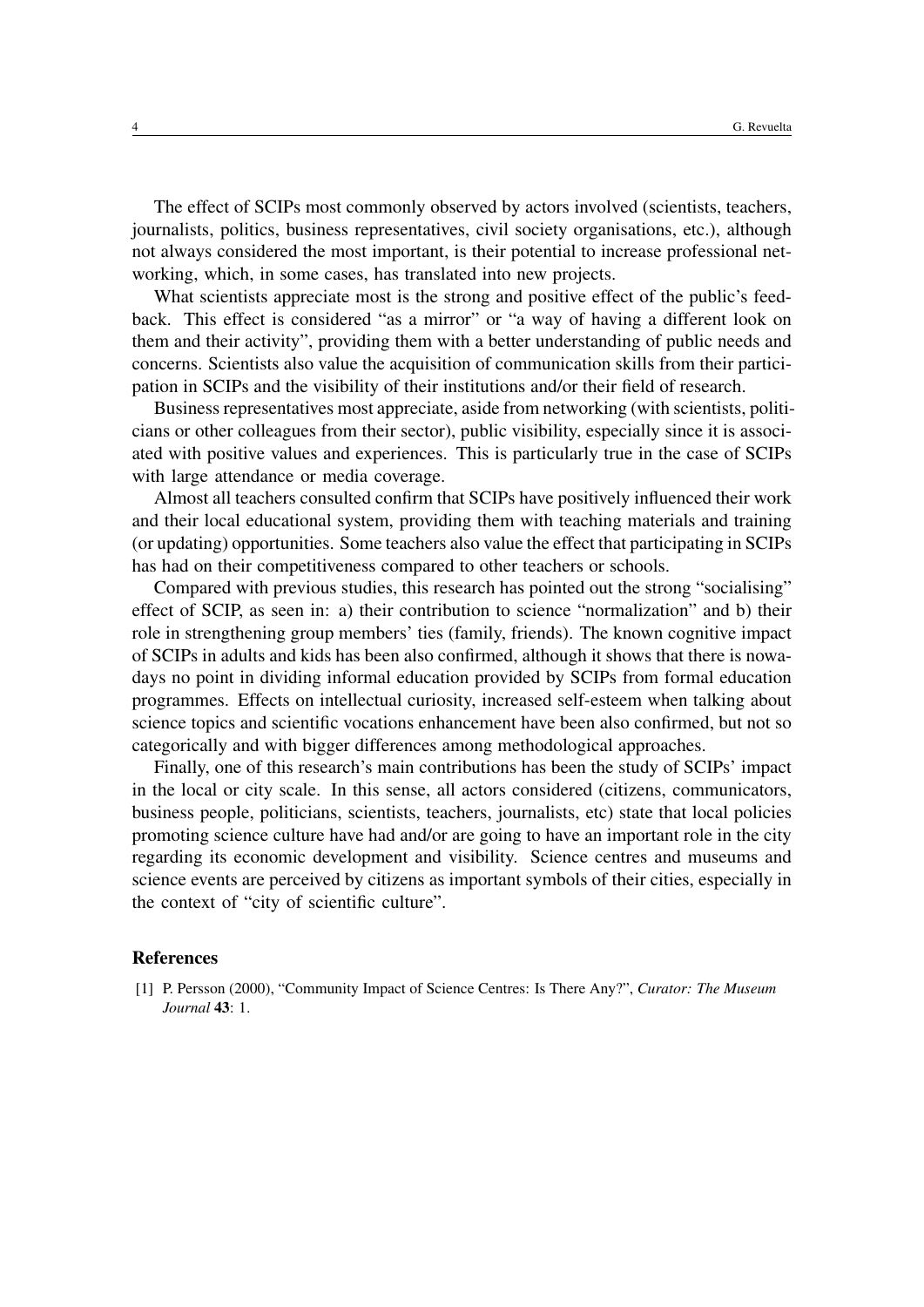The effect of SCIPs most commonly observed by actors involved (scientists, teachers, journalists, politics, business representatives, civil society organisations, etc.), although not always considered the most important, is their potential to increase professional networking, which, in some cases, has translated into new projects.

What scientists appreciate most is the strong and positive effect of the public's feedback. This effect is considered "as a mirror" or "a way of having a different look on them and their activity", providing them with a better understanding of public needs and concerns. Scientists also value the acquisition of communication skills from their participation in SCIPs and the visibility of their institutions and/or their field of research.

Business representatives most appreciate, aside from networking (with scientists, politicians or other colleagues from their sector), public visibility, especially since it is associated with positive values and experiences. This is particularly true in the case of SCIPs with large attendance or media coverage.

Almost all teachers consulted confirm that SCIPs have positively influenced their work and their local educational system, providing them with teaching materials and training (or updating) opportunities. Some teachers also value the effect that participating in SCIPs has had on their competitiveness compared to other teachers or schools.

Compared with previous studies, this research has pointed out the strong "socialising" effect of SCIP, as seen in: a) their contribution to science "normalization" and b) their role in strengthening group members' ties (family, friends). The known cognitive impact of SCIPs in adults and kids has been also confirmed, although it shows that there is nowadays no point in dividing informal education provided by SCIPs from formal education programmes. Effects on intellectual curiosity, increased self-esteem when talking about science topics and scientific vocations enhancement have been also confirmed, but not so categorically and with bigger differences among methodological approaches.

Finally, one of this research's main contributions has been the study of SCIPs' impact in the local or city scale. In this sense, all actors considered (citizens, communicators, business people, politicians, scientists, teachers, journalists, etc) state that local policies promoting science culture have had and/or are going to have an important role in the city regarding its economic development and visibility. Science centres and museums and science events are perceived by citizens as important symbols of their cities, especially in the context of "city of scientific culture".

#### References

<span id="page-3-0"></span>[1] P. Persson (2000), "Community Impact of Science Centres: Is There Any?", *Curator: The Museum Journal* 43: 1.